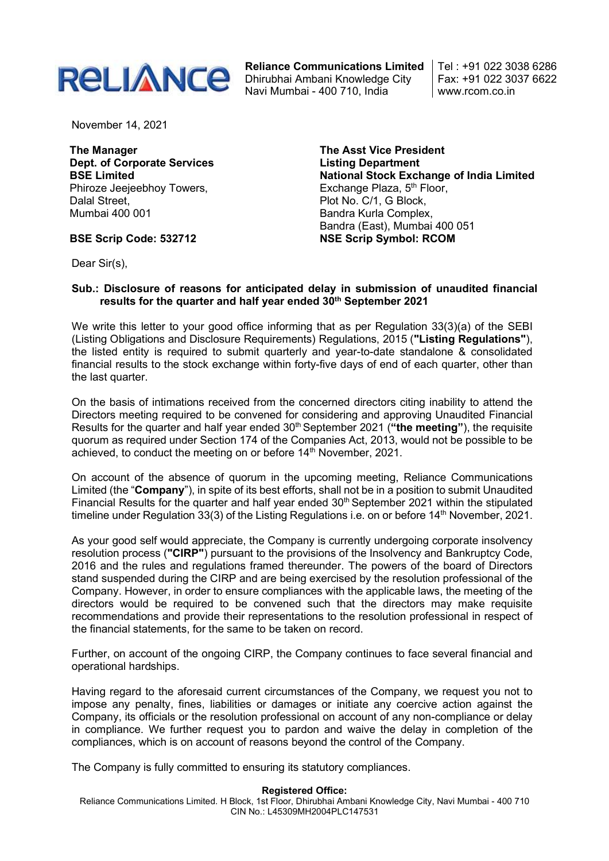

Reliance Communications Limited Dhirubhai Ambani Knowledge City Navi Mumbai - 400 710, India

Tel : +91 022 3038 6286 Fax: +91 022 3037 6622 www.rcom.co.in

November 14, 2021

The Manager Dept. of Corporate Services BSE Limited Phiroze Jeejeebhoy Towers, Dalal Street, Mumbai 400 001

BSE Scrip Code: 532712

The Asst Vice President Listing Department National Stock Exchange of India Limited Exchange Plaza,  $5<sup>th</sup>$  Floor, Plot No. C/1, G Block, Bandra Kurla Complex, Bandra (East), Mumbai 400 051 NSE Scrip Symbol: RCOM

Dear Sir(s),

## Sub.: Disclosure of reasons for anticipated delay in submission of unaudited financial results for the quarter and half year ended 30<sup>th</sup> September 2021

We write this letter to your good office informing that as per Regulation 33(3)(a) of the SEBI (Listing Obligations and Disclosure Requirements) Regulations, 2015 ("Listing Regulations"), the listed entity is required to submit quarterly and year-to-date standalone & consolidated financial results to the stock exchange within forty-five days of end of each quarter, other than the last quarter.

On the basis of intimations received from the concerned directors citing inability to attend the Directors meeting required to be convened for considering and approving Unaudited Financial Results for the quarter and half year ended 30<sup>th</sup> September 2021 ("the meeting"), the requisite quorum as required under Section 174 of the Companies Act, 2013, would not be possible to be achieved, to conduct the meeting on or before 14<sup>th</sup> November, 2021.

On account of the absence of quorum in the upcoming meeting, Reliance Communications Limited (the "Company"), in spite of its best efforts, shall not be in a position to submit Unaudited Financial Results for the quarter and half year ended  $30<sup>th</sup>$  September 2021 within the stipulated timeline under Regulation 33(3) of the Listing Regulations i.e. on or before 14<sup>th</sup> November, 2021.

As your good self would appreciate, the Company is currently undergoing corporate insolvency resolution process ("CIRP") pursuant to the provisions of the Insolvency and Bankruptcy Code, 2016 and the rules and regulations framed thereunder. The powers of the board of Directors stand suspended during the CIRP and are being exercised by the resolution professional of the Company. However, in order to ensure compliances with the applicable laws, the meeting of the directors would be required to be convened such that the directors may make requisite recommendations and provide their representations to the resolution professional in respect of the financial statements, for the same to be taken on record.

Further, on account of the ongoing CIRP, the Company continues to face several financial and operational hardships.

Having regard to the aforesaid current circumstances of the Company, we request you not to impose any penalty, fines, liabilities or damages or initiate any coercive action against the Company, its officials or the resolution professional on account of any non-compliance or delay in compliance. We further request you to pardon and waive the delay in completion of the compliances, which is on account of reasons beyond the control of the Company.

The Company is fully committed to ensuring its statutory compliances.

## Registered Office:

Reliance Communications Limited. H Block, 1st Floor, Dhirubhai Ambani Knowledge City, Navi Mumbai - 400 710 CIN No.: L45309MH2004PLC147531